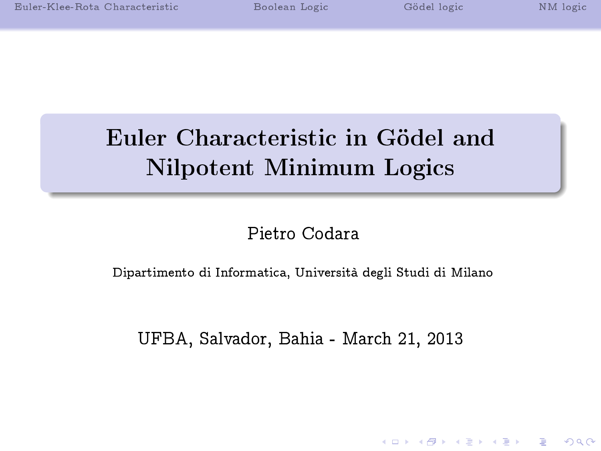# Euler Characteristic in Gödel and Nilpotent Minimum Logics

# Pietro Codara

Dipartimento di Informatica, Università degli Studi di Milano

UFBA, Salvador, Bahia - March 21, 2013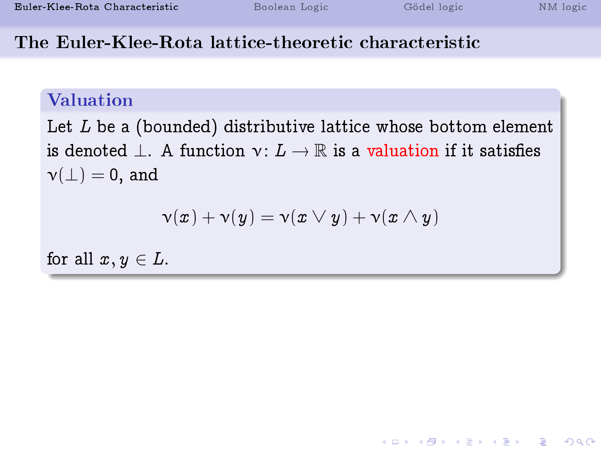### The Euler-Klee-Rota lattice-theoretic characteristic

# Valuation

Let  $L$  be a (bounded) distributive lattice whose bottom element is denoted  $\perp$ . A function  $\nu: L \to \mathbb{R}$  is a valuation if it satisfies  $\nu(\perp) = 0$ , and

$$
\mathsf{v}(x) + \mathsf{v}(y) = \mathsf{v}(x \vee y) + \mathsf{v}(x \wedge y)
$$

<span id="page-1-0"></span>for all  $x, y \in L$ .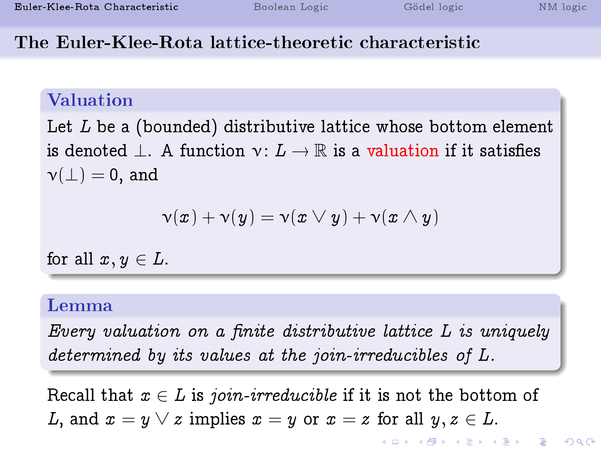K ロ ▶ K 레 ▶ K 로 ▶ K 로 ▶ 『로 』 9 Q @

### The Euler-Klee-Rota lattice-theoretic characteristic

# Valuation

Let  $L$  be a (bounded) distributive lattice whose bottom element is denoted  $\perp$ . A function  $\nu: L \to \mathbb{R}$  is a valuation if it satisfies  $\nu(\perp) = 0$ , and

$$
\mathsf{v}(x) + \mathsf{v}(y) = \mathsf{v}(x \vee y) + \mathsf{v}(x \wedge y)
$$

for all  $x, y \in L$ .

### Lemma

Every valuation on a finite distributive lattice  $L$  is uniquely determined by its values at the join-irreducibles of L.

Recall that  $x \in L$  is join-irreducible if it is not the bottom of L, and  $x = y \vee z$  implies  $x = y$  or  $x = z$  for all  $y, z \in L$ .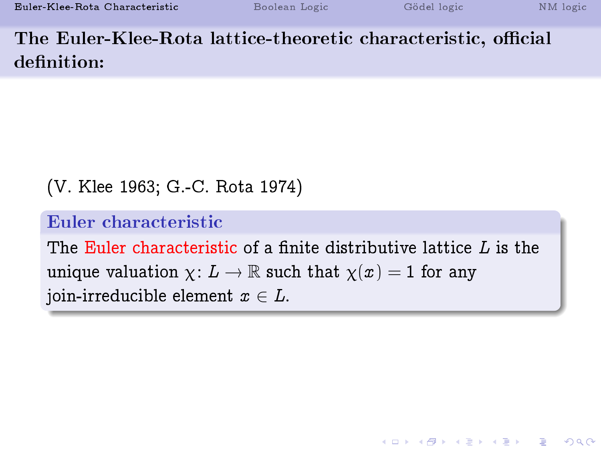The Euler-Klee-Rota lattice-theoretic characteristic, official definition:

(V. Klee 1963; G.-C. Rota 1974)

### Euler characteristic

The Euler characteristic of a finite distributive lattice  $L$  is the unique valuation  $\chi: L \to \mathbb{R}$  such that  $\chi(x) = 1$  for any join-irreducible element  $x \in L$ .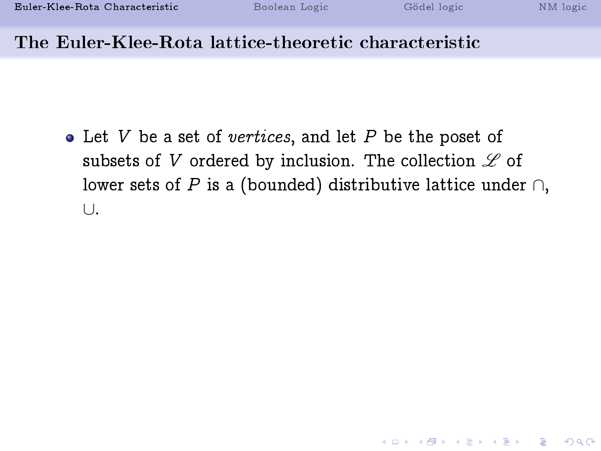# The Euler-Klee-Rota lattice-theoretic characteristic

• Let V be a set of vertices, and let P be the poset of subsets of V ordered by inclusion. The collection  $\mathscr L$  of lower sets of P is a (bounded) distributive lattice under  $\cap$ , ∪.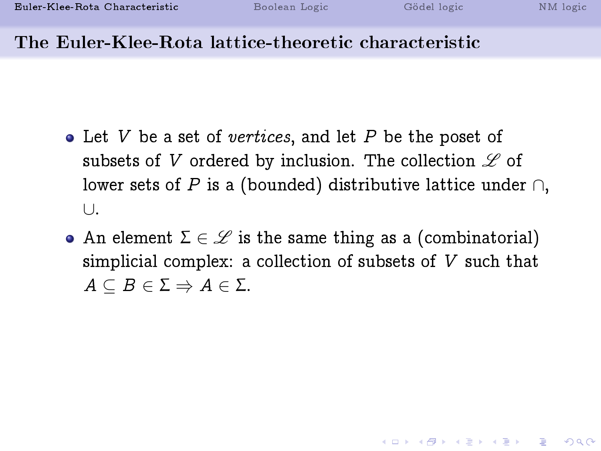### The Euler-Klee-Rota lattice-theoretic characteristic

- Let V be a set of vertices, and let P be the poset of subsets of V ordered by inclusion. The collection  $\mathscr L$  of lower sets of P is a (bounded) distributive lattice under  $\cap$ , ∪.
- An element  $\Sigma \in \mathscr{L}$  is the same thing as a (combinatorial) simplicial complex: a collection of subsets of V such that  $A \subseteq B \in \Sigma \Rightarrow A \in \Sigma$ .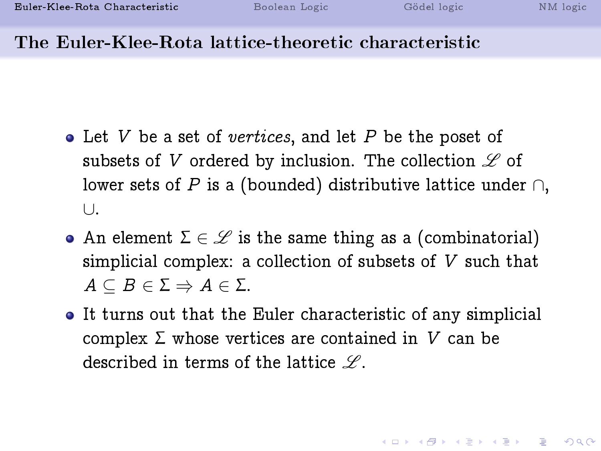# The Euler-Klee-Rota lattice-theoretic characteristic

- Let V be a set of vertices, and let P be the poset of subsets of V ordered by inclusion. The collection  $\mathscr L$  of lower sets of P is a (bounded) distributive lattice under  $\cap$ , ∪.
- An element  $\Sigma \in \mathscr{L}$  is the same thing as a (combinatorial) simplicial complex: a collection of subsets of V such that  $A \subseteq B \in \Sigma \Rightarrow A \in \Sigma$ .
- It turns out that the Euler characteristic of any simplicial complex  $\Sigma$  whose vertices are contained in V can be described in terms of the lattice  $\mathscr{L}$ .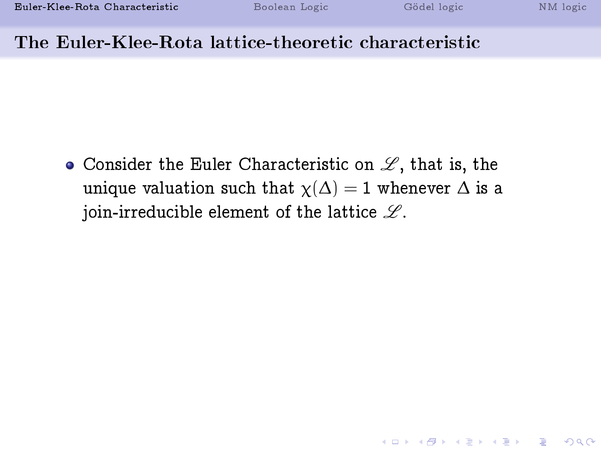### The Euler-Klee-Rota lattice-theoretic characteristic

• Consider the Euler Characteristic on  $\mathscr L$ , that is, the unique valuation such that  $\chi(\Delta) = 1$  whenever  $\Delta$  is a ioin-irreducible element of the lattice  $\mathscr{L}.$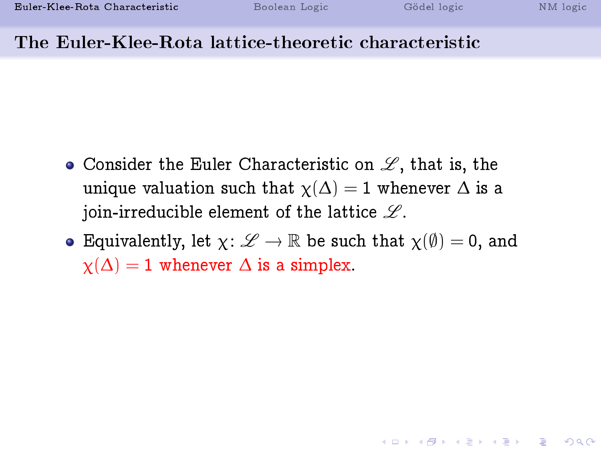### The Euler-Klee-Rota lattice-theoretic characteristic

- Consider the Euler Characteristic on  $\mathscr L$ , that is, the unique valuation such that  $\chi(\Delta) = 1$  whenever  $\Delta$  is a ioin-irreducible element of the lattice  $\mathscr{L}.$
- Equivalently, let  $\chi: \mathscr{L} \to \mathbb{R}$  be such that  $\chi(\emptyset) = 0$ , and  $\chi(\Delta) = 1$  whenever  $\Delta$  is a simplex.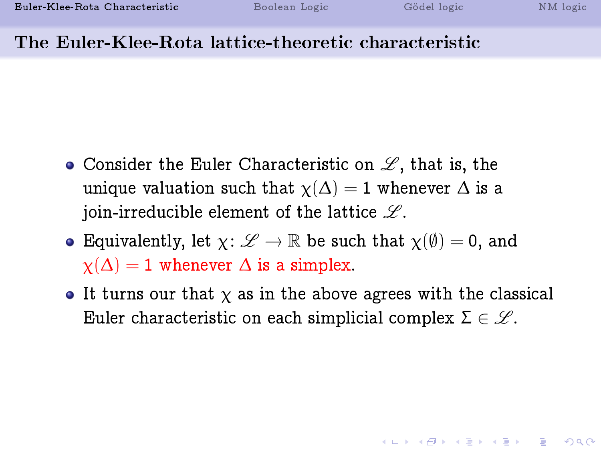### The Euler-Klee-Rota lattice-theoretic characteristic

- $\bullet$  Consider the Euler Characteristic on  $\mathscr{L},$  that is, the unique valuation such that  $\chi(\Delta) = 1$  whenever  $\Delta$  is a ioin-irreducible element of the lattice  $\mathscr{L}.$
- Equivalently, let  $\chi: \mathscr{L} \to \mathbb{R}$  be such that  $\chi(\emptyset) = 0$ , and  $\chi(\Delta) = 1$  whenever  $\Delta$  is a simplex.
- It turns our that  $\chi$  as in the above agrees with the classical Euler characteristic on each simplicial complex  $\Sigma \in \mathscr{L}$ .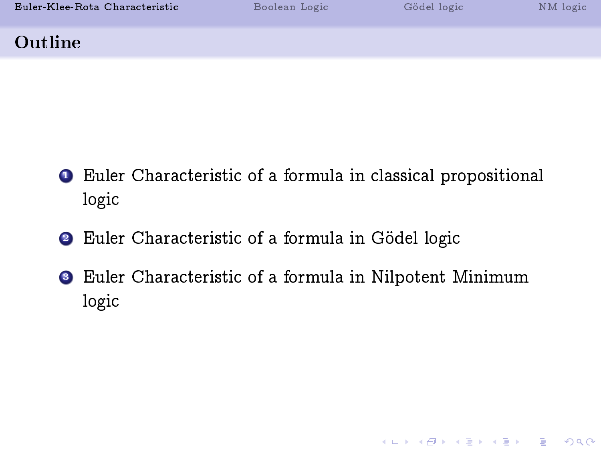| Euler-Klee-Rota Characteristic | Boolean Logic | Gödel logic | NM logic |
|--------------------------------|---------------|-------------|----------|
| Outline                        |               |             |          |

- <sup>1</sup> Euler Characteristic of a formula in classical propositional logic
- <sup>2</sup> Euler Characteristic of a formula in Gödel logic
- <sup>3</sup> Euler Characteristic of a formula in Nilpotent Minimum logic

K ロ ▶ K 個 ▶ K 할 ▶ K 할 ▶ 이 할 → 900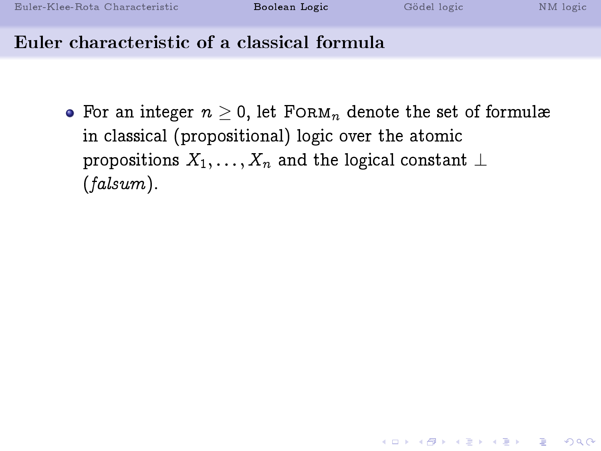[Euler-Klee-Rota Characteristic](#page-1-0) [Boolean Logic](#page-11-0) [Gödel logic](#page-21-0) [NM logic](#page-50-0)

K ロ ▶ K 個 ▶ K 할 ▶ K 할 ▶ 이 할 → 900

# Euler characteristic of a classical formula

<span id="page-11-0"></span>• For an integer  $n \geq 0$ , let FORM<sub>n</sub> denote the set of formulæ in classical (propositional) logic over the atomic propositions  $X_1, \ldots, X_n$  and the logical constant  $\perp$ (falsum).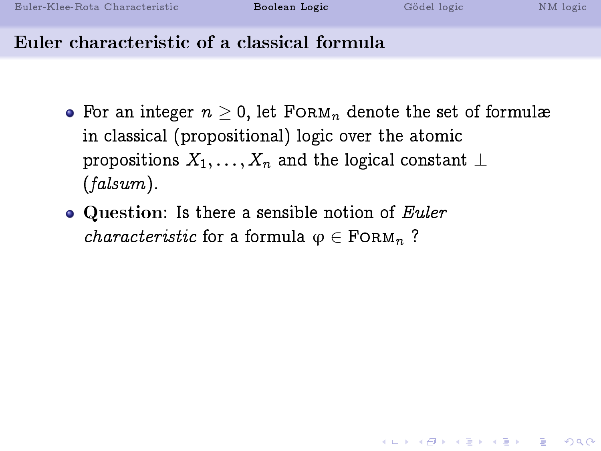[Euler-Klee-Rota Characteristic](#page-1-0) [Boolean Logic](#page-11-0) [Gödel logic](#page-21-0) [NM logic](#page-50-0)

**KOD START KED KEN EL VAN** 

- For an integer  $n \geq 0$ , let FORM<sub>n</sub> denote the set of formulæ in classical (propositional) logic over the atomic propositions  $X_1, \ldots, X_n$  and the logical constant  $\perp$ (falsum).
- $\bullet$  Question: Is there a sensible notion of Euler *characteristic* for a formula  $\varphi \in \text{FoRM}_n$  ?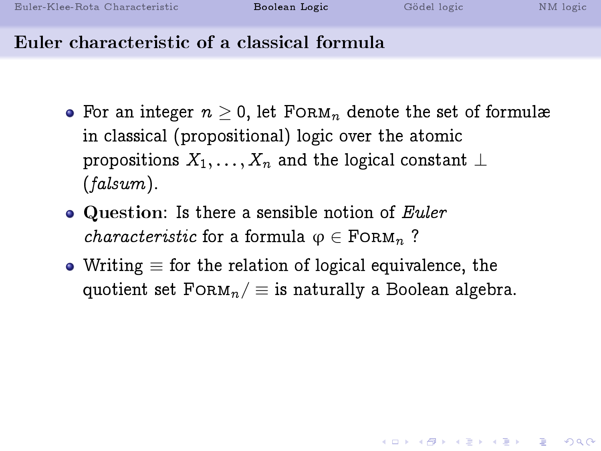- For an integer  $n \geq 0$ , let FORM<sub>n</sub> denote the set of formulæ in classical (propositional) logic over the atomic propositions  $X_1, \ldots, X_n$  and the logical constant  $\perp$ (falsum).
- $\bullet$  Question: Is there a sensible notion of Euler *characteristic* for a formula  $\varphi \in \text{FoRM}_n$  ?
- Writing  $\equiv$  for the relation of logical equivalence, the quotient set  $FORM_n / \equiv$  is naturally a Boolean algebra.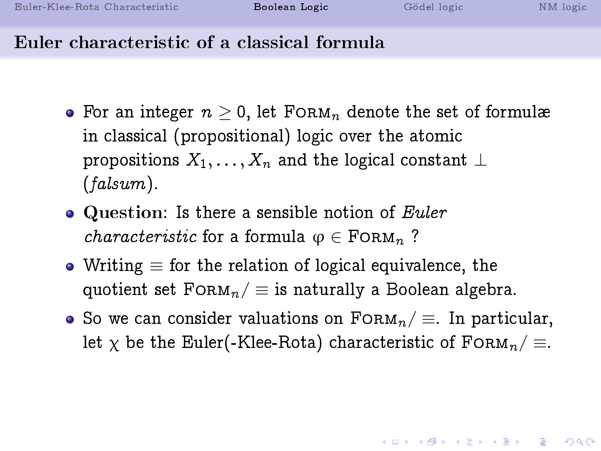**A DIA 4 B A DIA A B A DIA 4 DIA A DIA B** 

- For an integer  $n \geq 0$ , let FORM<sub>n</sub> denote the set of formulæ in classical (propositional) logic over the atomic propositions  $X_1, \ldots, X_n$  and the logical constant  $\perp$ (falsum).
- Question: Is there a sensible notion of Euler *characteristic* for a formula  $\varphi \in \text{FoRM}_n$  ?
- Writing  $\equiv$  for the relation of logical equivalence, the quotient set  $FORM_n / \equiv$  is naturally a Boolean algebra.
- So we can consider valuations on  $\text{F} \circ \text{Rm}_n / \equiv$ . In particular, let  $\chi$  be the Euler(-Klee-Rota) characteristic of FORM<sub>n</sub>/  $\equiv$ .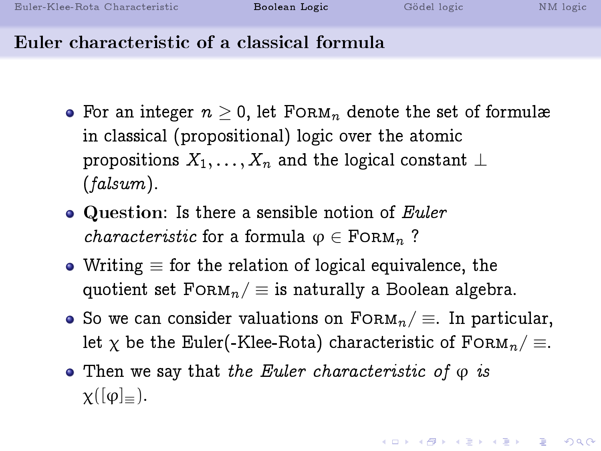**A DIA 4 B A DIA A B A DIA 4 DIA A DIA B** 

- For an integer  $n \geq 0$ , let FORM<sub>n</sub> denote the set of formulæ in classical (propositional) logic over the atomic propositions  $X_1, \ldots, X_n$  and the logical constant  $\perp$ (falsum).
- $\bullet$  Question: Is there a sensible notion of Euler *characteristic* for a formula  $\varphi \in \text{FoRM}_n$  ?
- Writing  $\equiv$  for the relation of logical equivalence, the quotient set  $FORM_n / \equiv$  is naturally a Boolean algebra.
- So we can consider valuations on  $\text{F} \circ \text{Rm}_n / \equiv$ . In particular, let  $\chi$  be the Euler(-Klee-Rota) characteristic of FORM<sub>n</sub>/  $\equiv$ .
- Then we say that the Euler characteristic of  $\varphi$  is  $\chi([\varphi]_{=})$ .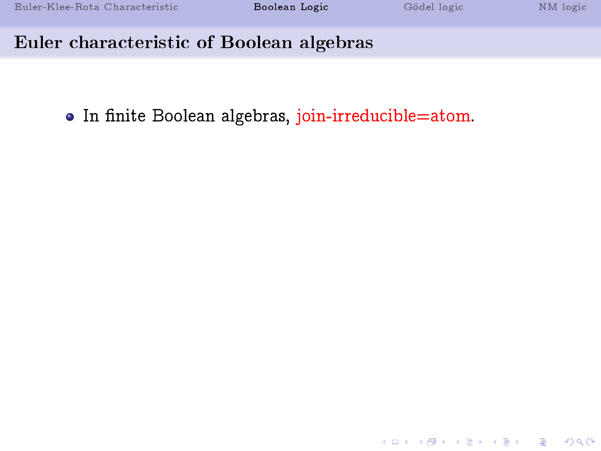K ロ ▶ K 個 ▶ K 할 ▶ K 할 ▶ 이 할 → 900

### Euler characteristic of Boolean algebras

• In finite Boolean algebras, join-irreducible=atom.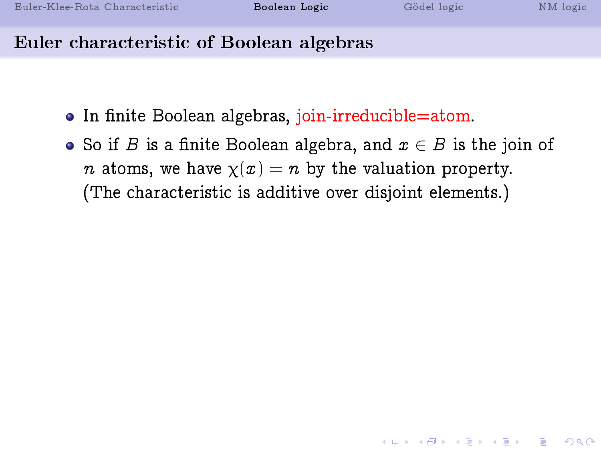### Euler characteristic of Boolean algebras

- In finite Boolean algebras, join-irreducible=atom.
- So if B is a finite Boolean algebra, and  $x \in B$  is the join of *n* atoms, we have  $\chi(x) = n$  by the valuation property. (The characteristic is additive over disjoint elements.)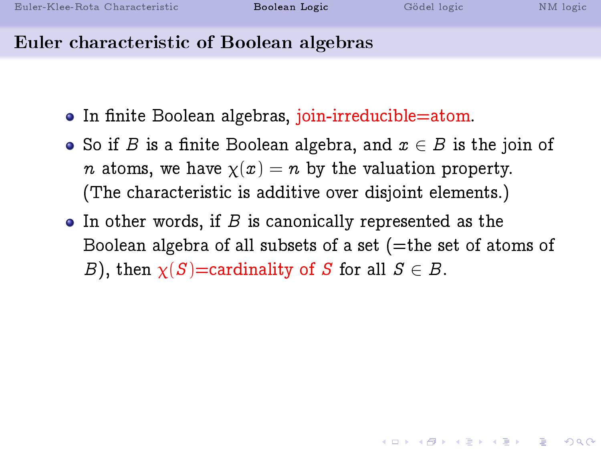### Euler characteristic of Boolean algebras

- In finite Boolean algebras, join-irreducible=atom.
- So if B is a finite Boolean algebra, and  $x \in B$  is the join of *n* atoms, we have  $\chi(x) = n$  by the valuation property. (The characteristic is additive over disjoint elements.)
- $\bullet$  In other words, if  $B$  is canonically represented as the Boolean algebra of all subsets of a set  $($ =the set of atoms of B), then  $\chi(S)$ =cardinality of S for all  $S \in B$ .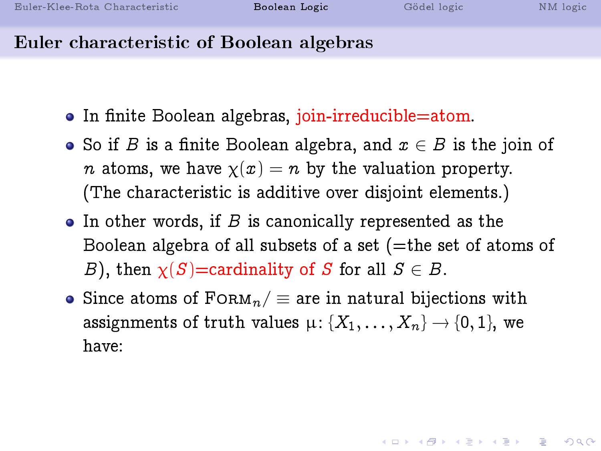**A DIA 4 B A DIA A B A DIA 4 DIA A DIA B** 

### Euler characteristic of Boolean algebras

- In finite Boolean algebras, join-irreducible=atom.
- So if B is a finite Boolean algebra, and  $x \in B$  is the join of *n* atoms, we have  $\chi(x) = n$  by the valuation property. (The characteristic is additive over disjoint elements.)
- $\bullet$  In other words, if  $B$  is canonically represented as the Boolean algebra of all subsets of a set  $($ =the set of atoms of B), then  $\chi(S)$ =cardinality of S for all  $S \in B$ .
- Since atoms of  $F$ ORM $_n$  = are in natural bijections with assignments of truth values  $\mu$ : { $X_1, \ldots, X_n$ }  $\rightarrow$  {0, 1}, we have: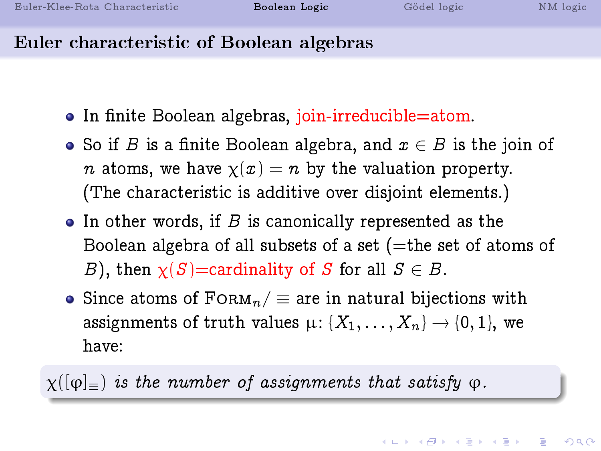# Euler characteristic of Boolean algebras

- In finite Boolean algebras, join-irreducible=atom.
- So if B is a finite Boolean algebra, and  $x \in B$  is the join of *n* atoms, we have  $\chi(x) = n$  by the valuation property. (The characteristic is additive over disjoint elements.)
- $\bullet$  In other words, if  $B$  is canonically represented as the Boolean algebra of all subsets of a set  $($ =the set of atoms of B), then  $\chi(S)$ =cardinality of S for all  $S \in B$ .
- Since atoms of  $F$ ORM $_n$  = are in natural bijections with assignments of truth values  $\mu$ : { $X_1, \ldots, X_n$ }  $\rightarrow$  {0, 1}, we have:

 $\chi([\varphi]_{=})$  is the number of assignments that satisfy  $\varphi$ .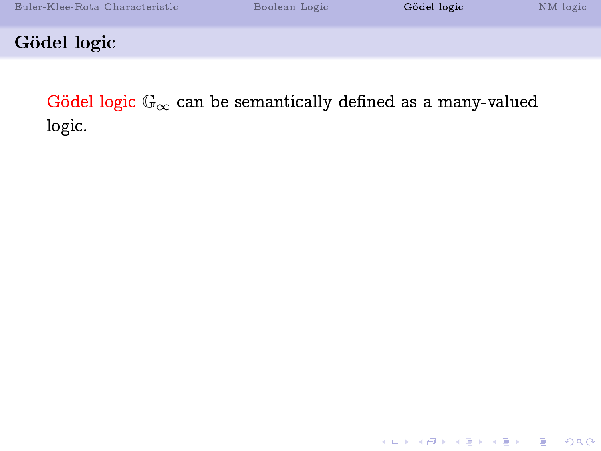K ロ ▶ K 個 ▶ K 할 > K 할 > 1 할 > 1 이익어

Gödel logic

<span id="page-21-0"></span>Gödel logic  $\mathbb{G}_{\infty}$  can be semantically defined as a many-valued logic.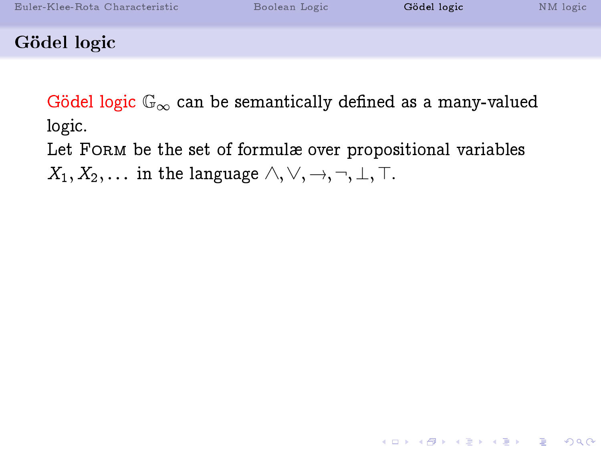#### Gödel logic

Gödel logic  $\mathbb{G}_{\infty}$  can be semantically defined as a many-valued logic.

Let FORM be the set of formulæ over propositional variables

 $X_1, X_2, \ldots$  in the language  $\wedge, \vee, \rightarrow, \neg, \bot, \top$ .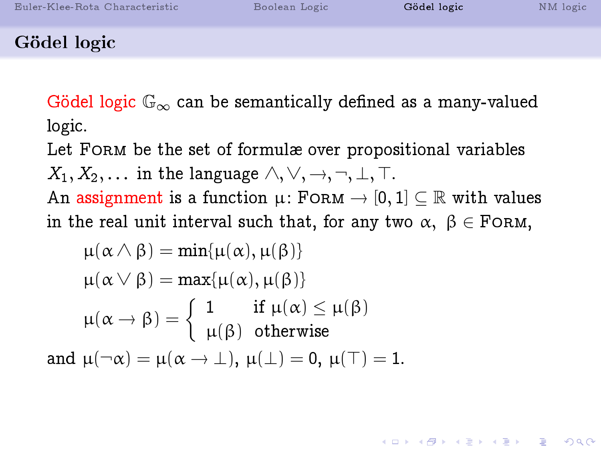### Gödel logic

Gödel logic  $\mathbb{G}_{\infty}$  can be semantically defined as a many-valued logic.

Let FORM be the set of formulæ over propositional variables  $X_1, X_2, \ldots$  in the language  $\wedge, \vee, \rightarrow, \neg, \perp, \top$ .

An assignment is a function  $\mu$ : FORM  $\rightarrow$  [0, 1]  $\subseteq \mathbb{R}$  with values in the real unit interval such that, for any two  $\alpha, \beta \in$  Form,

$$
\mu(\alpha \wedge \beta) = \min{\mu(\alpha), \mu(\beta)}
$$

$$
\mu(\alpha \vee \beta) = \max{\mu(\alpha), \mu(\beta)}
$$

$$
\mu(\alpha \rightarrow \beta) = \begin{cases} 1 & \text{if } \mu(\alpha) \le \mu(\beta) \\ \mu(\beta) & \text{otherwise} \end{cases}
$$
and 
$$
\mu(\neg \alpha) = \mu(\alpha \rightarrow \bot), \mu(\bot) = 0, \mu(\top) = 1.
$$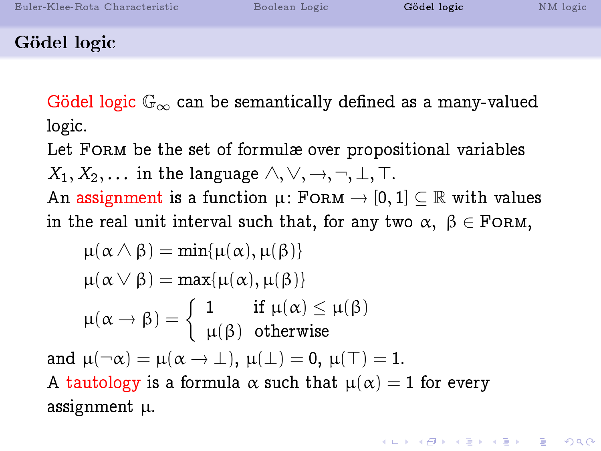### Gödel logic

Gödel logic  $\mathbb{G}_{\infty}$  can be semantically defined as a many-valued logic.

Let FORM be the set of formulæ over propositional variables  $X_1, X_2, \ldots$  in the language  $\wedge, \vee, \rightarrow, \neg, \perp, \top$ .

An assignment is a function  $\mu$ : FORM  $\rightarrow$  [0, 1]  $\subseteq \mathbb{R}$  with values in the real unit interval such that, for any two  $\alpha, \beta \in$  Form,

$$
\mu(\alpha \wedge \beta) = \min{\mu(\alpha), \mu(\beta)}
$$
  
\n
$$
\mu(\alpha \vee \beta) = \max{\mu(\alpha), \mu(\beta)}
$$
  
\n
$$
\mu(\alpha \rightarrow \beta) = \begin{cases} 1 & \text{if } \mu(\alpha) \le \mu(\beta) \\ \mu(\beta) & \text{otherwise} \end{cases}
$$
  
\nand 
$$
\mu(\neg \alpha) = \mu(\alpha \rightarrow \bot), \mu(\bot) = 0, \mu(\top) = 1.
$$
  
\nA tautology is a formula  $\alpha$  such that  $\mu(\alpha) = 1$  for every assignment  $\mu$ .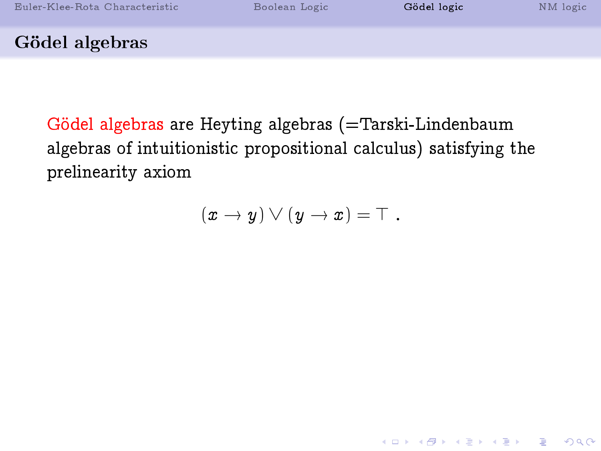# Gödel algebras

Gödel algebras are Heyting algebras (=Tarski-Lindenbaum algebras of intuitionistic propositional calculus) satisfying the prelinearity axiom

 $(x \rightarrow y) \vee (y \rightarrow x) = \top$ .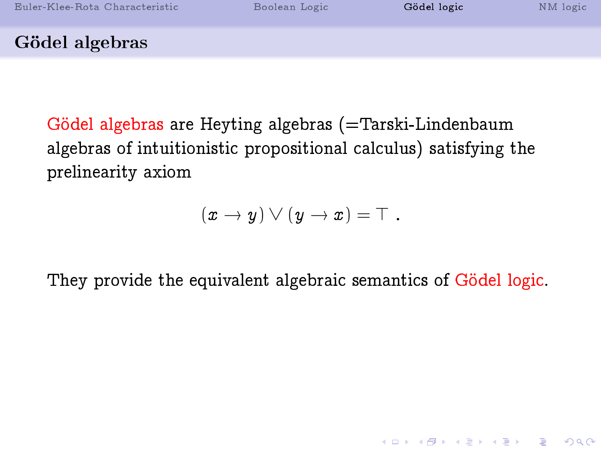# Gödel algebras

Gödel algebras are Heyting algebras (=Tarski-Lindenbaum algebras of intuitionistic propositional calculus) satisfying the prelinearity axiom

$$
(x \to y) \vee (y \to x) = \top.
$$

They provide the equivalent algebraic semantics of Gödel logic.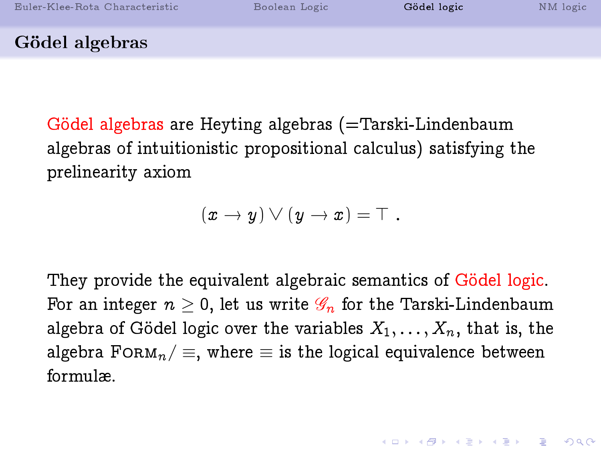# Gödel algebras

Gödel algebras are Heyting algebras (=Tarski-Lindenbaum algebras of intuitionistic propositional calculus) satisfying the prelinearity axiom

$$
(x \to y) \vee (y \to x) = \top.
$$

They provide the equivalent algebraic semantics of Gödel logic. For an integer  $n \geq 0$ , let us write  $\mathscr{G}_n$  for the Tarski-Lindenbaum algebra of Gödel logic over the variables  $X_1, \ldots, X_n$ , that is, the algebra FORM<sub>n</sub> /  $\equiv$ , where  $\equiv$  is the logical equivalence between formulæ.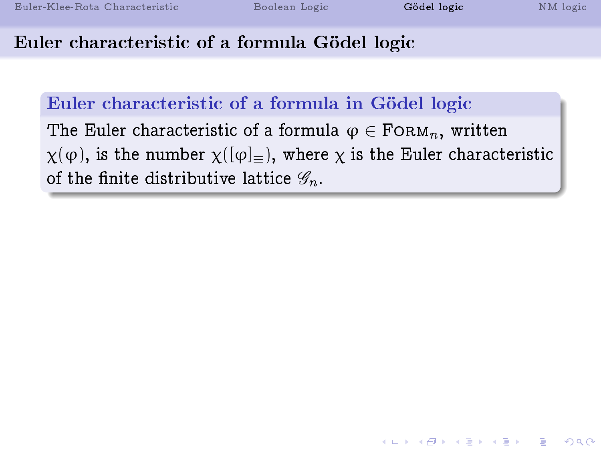# Euler characteristic of a formula Gödel logic

# Euler characteristic of a formula in Gödel logic

The Euler characteristic of a formula  $\varphi \in \text{FoRM}_n$ , written  $\chi(\varphi)$ , is the number  $\chi([\varphi]_{\equiv})$ , where  $\chi$  is the Euler characteristic of the finite distributive lattice  $\mathscr{G}_n$ .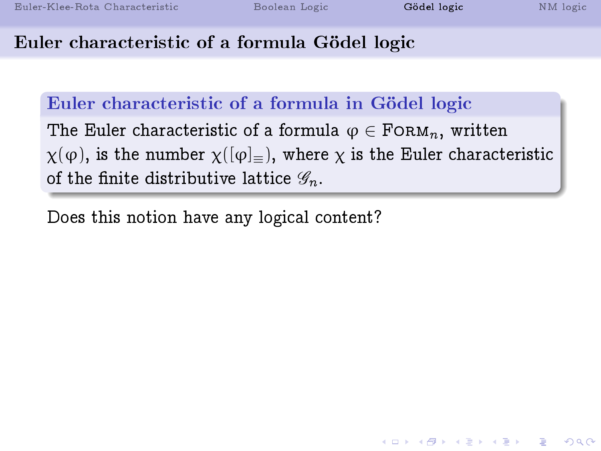# Euler characteristic of a formula Gödel logic

# Euler characteristic of a formula in Gödel logic

The Euler characteristic of a formula  $\varphi \in \text{FoRM}_n$ , written  $\chi(\varphi)$ , is the number  $\chi([\varphi]_{\equiv})$ , where  $\chi$  is the Euler characteristic of the finite distributive lattice  $\mathscr{G}_n$ .

Does this notion have any logical content?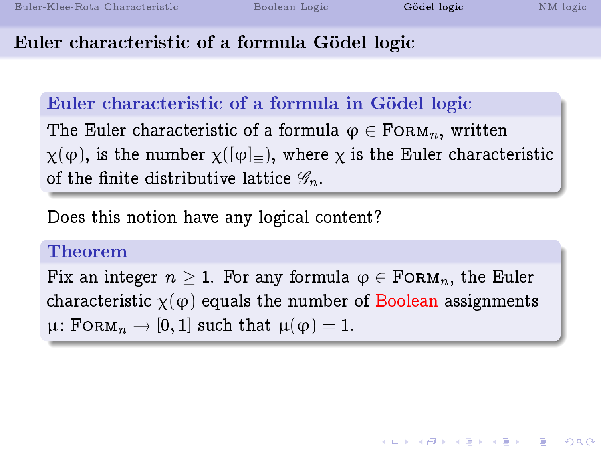# Euler characteristic of a formula Gödel logic

# Euler characteristic of a formula in Gödel logic

The Euler characteristic of a formula  $\varphi \in \text{FORM}_n$ , written  $\chi(\varphi)$ , is the number  $\chi([\varphi]_{=})$ , where  $\chi$  is the Euler characteristic of the finite distributive lattice  $\mathscr{G}_n$ .

Does this notion have any logical content?

#### Theorem

Fix an integer  $n > 1$ . For any formula  $\varphi \in \text{F} \circ \text{R}_{n}$ , the Euler characteristic  $\chi(\varphi)$  equals the number of Boolean assignments  $\mu$ : FORM $_n \to [0, 1]$  such that  $\mu(\varphi) = 1$ .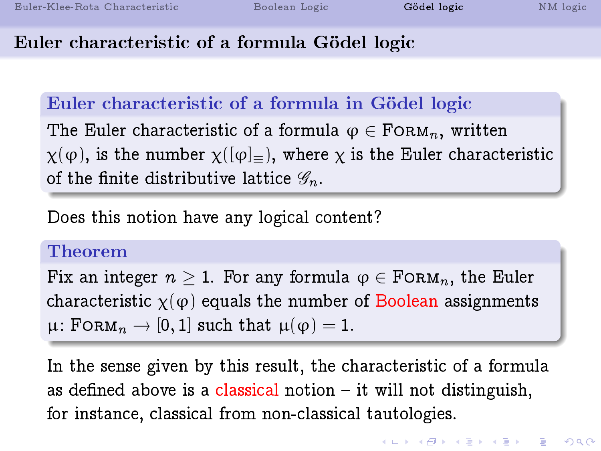# Euler characteristic of a formula Gödel logic

# Euler characteristic of a formula in Gödel logic

The Euler characteristic of a formula  $\varphi \in \text{FORM}_n$ , written  $\chi(\varphi)$ , is the number  $\chi([\varphi]_{=})$ , where  $\chi$  is the Euler characteristic of the finite distributive lattice  $\mathscr{G}_n$ .

Does this notion have any logical content?

#### Theorem

Fix an integer  $n \geq 1$ . For any formula  $\varphi \in \text{FoRM}_n$ , the Euler characteristic  $\chi(\varphi)$  equals the number of Boolean assignments  $\mu$ : FORM $_n \to [0, 1]$  such that  $\mu(\varphi) = 1$ .

In the sense given by this result, the characteristic of a formula as defined above is a classical notion  $-$  it will not distinguish, for instance, classical from non-classical tautologies.

**KOD KOD KED KED E VOOR**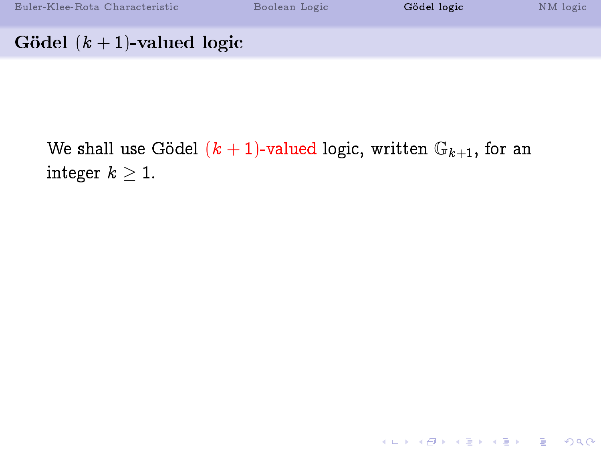K ロ ▶ K 個 ▶ K 할 ▶ K 할 ▶ 이 할 → 900

# Gödel  $(k + 1)$ -valued logic

We shall use Gödel  $(k + 1)$ -valued logic, written  $\mathbb{G}_{k+1}$ , for an integer  $k \geq 1$ .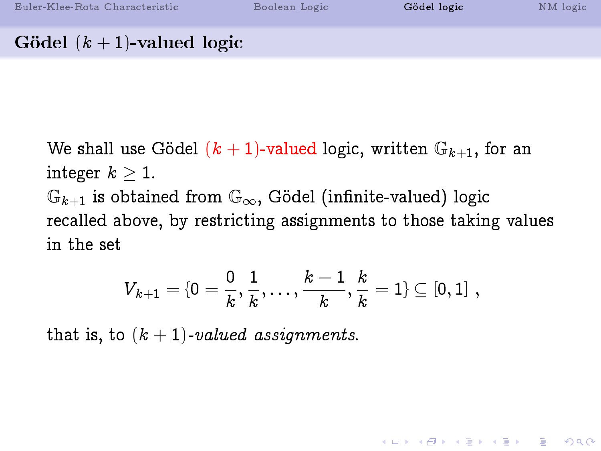# Gödel  $(k + 1)$ -valued logic

We shall use Gödel  $(k + 1)$ -valued logic, written  $\mathbb{G}_{k+1}$ , for an integer  $k \geq 1$ .  $\mathbb{G}_{k+1}$  is obtained from  $\mathbb{G}_{\infty}$ , Gödel (infinite-valued) logic recalled above, by restricting assignments to those taking values in the set

$$
V_{k+1} = \{0 = \frac{0}{k}, \frac{1}{k}, \ldots, \frac{k-1}{k}, \frac{k}{k} = 1\} \subseteq [0,1] \,\, ,
$$

that is, to  $(k + 1)$ -valued assignments.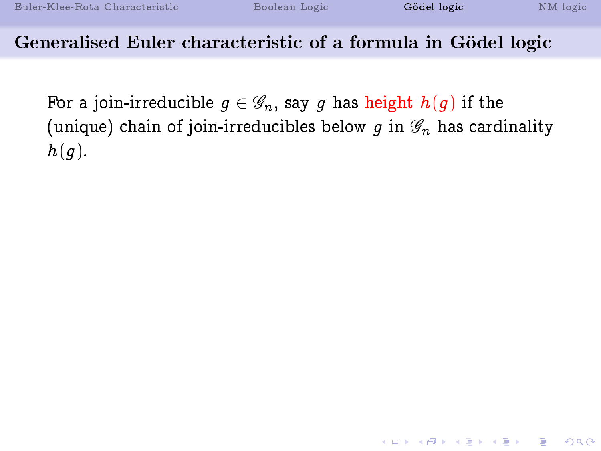### Generalised Euler characteristic of a formula in Gödel logic

For a join-irreducible  $q \in \mathscr{G}_n$ , say g has height  $h(q)$  if the (unique) chain of join-irreducibles below q in  $\mathscr{G}_n$  has cardinality  $h(q)$ .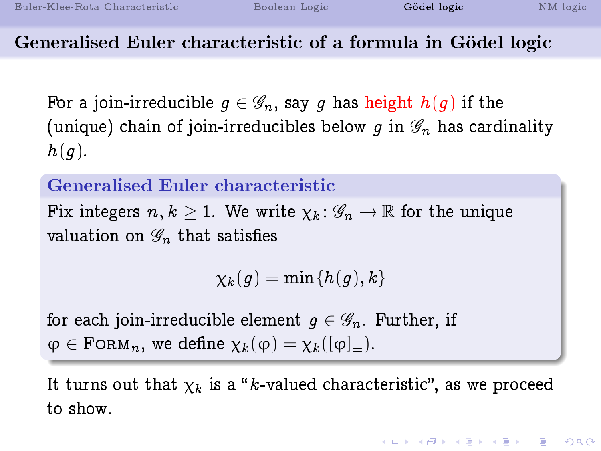Generalised Euler characteristic of a formula in Gödel logic

For a join-irreducible  $q \in \mathscr{G}_n$ , say q has height  $h(q)$  if the (unique) chain of join-irreducibles below q in  $\mathscr{G}_n$  has cardinality  $h(q)$ .

#### Generalised Euler characteristic

Fix integers  $n, k > 1$ . We write  $\chi_k : \mathscr{G}_n \to \mathbb{R}$  for the unique valuation on  $\mathscr{G}_n$  that satisfies

 $\chi_k(q) = \min\{h(q),k\}$ 

for each join-irreducible element  $g \in \mathscr{G}_n$ . Further, if  $\varphi \in \text{FoRM}_n$ , we define  $\chi_k(\varphi) = \chi_k([\varphi]_{\equiv}).$ 

It turns out that  $\chi_k$  is a "k-valued characteristic", as we proceed to show.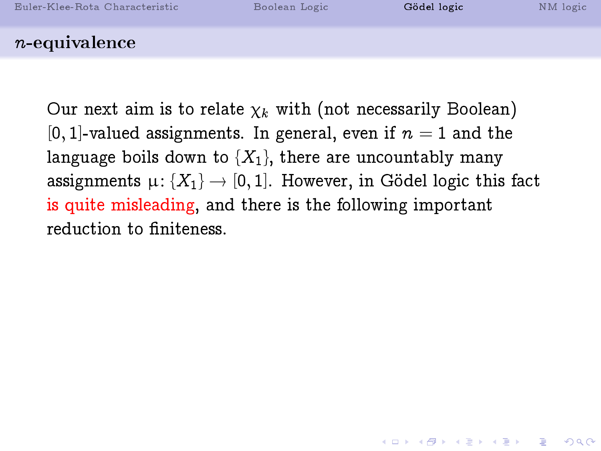#### n-equivalence

Our next aim is to relate  $\chi_k$  with (not necessarily Boolean) [0, 1]-valued assignments. In general, even if  $n = 1$  and the language boils down to  $\{X_1\}$ , there are uncountably many assignments  $\mu: \{X_1\} \to [0, 1]$ . However, in Gödel logic this fact is quite misleading, and there is the following important reduction to finiteness.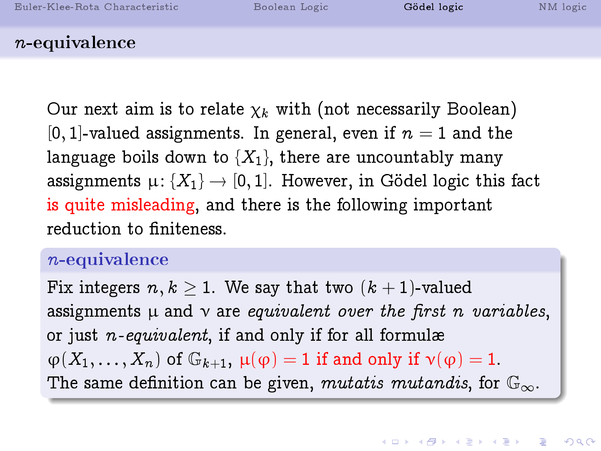#### n-equivalence

Our next aim is to relate  $\chi_k$  with (not necessarily Boolean) [0, 1]-valued assignments. In general, even if  $n = 1$  and the language boils down to  $\{X_1\}$ , there are uncountably many assignments  $\mu: \{X_1\} \to [0, 1]$ . However, in Gödel logic this fact is quite misleading, and there is the following important reduction to finiteness.

#### n-equivalence

Fix integers  $n, k > 1$ . We say that two  $(k + 1)$ -valued assignments  $\mu$  and  $\nu$  are *equivalent over the first n variables*, or just  $n$ -equivalent, if and only if for all formulæ  $\varphi(X_1,\ldots,X_n)$  of  $\mathbb{G}_{k+1}$ ,  $\mu(\varphi)=1$  if and only if  $\nu(\varphi)=1$ . The same definition can be given, mutatis mutandis, for  $\mathbb{G}_{\infty}$ .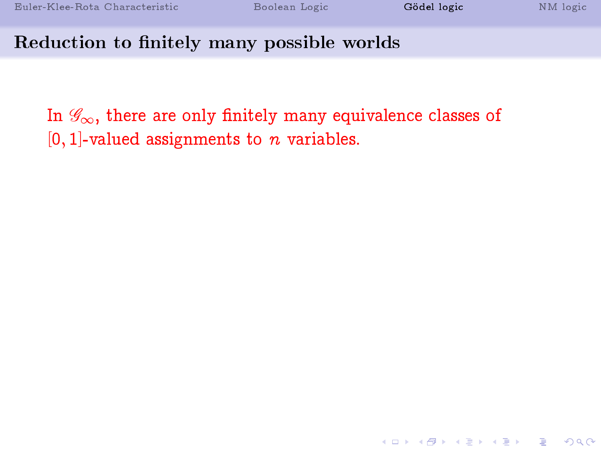K ロ ▶ K 個 ▶ K 할 ▶ K 할 ▶ 이 할 → 900

#### Reduction to finitely many possible worlds

In  $\mathscr{G}_{\infty}$ , there are only finitely many equivalence classes of  $[0, 1]$ -valued assignments to *n* variables.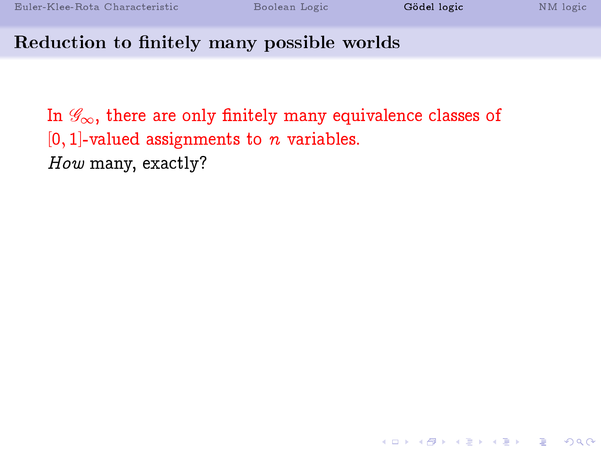### Reduction to finitely many possible worlds

In  $\mathscr{G}_{\infty}$ , there are only finitely many equivalence classes of  $[0, 1]$ -valued assignments to *n* variables. How many, exactly?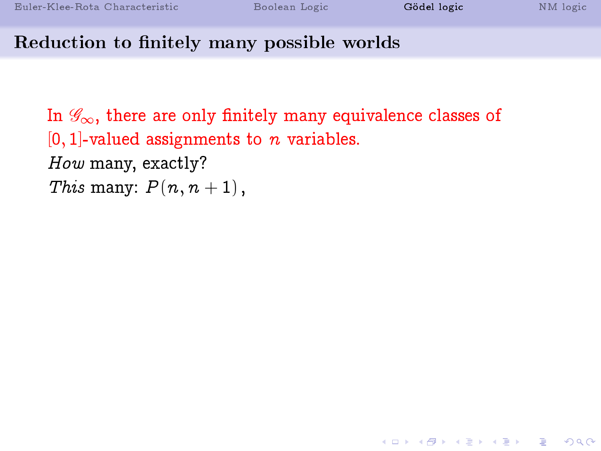#### Reduction to finitely many possible worlds

In  $\mathscr{G}_{\infty}$ , there are only finitely many equivalence classes of  $[0, 1]$ -valued assignments to *n* variables. How many, exactly? This many:  $P(n, n + 1)$ ,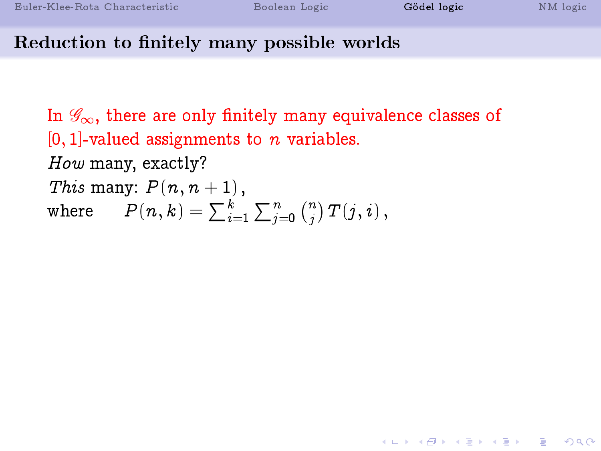**KOR & KERKER ADA KON** 

### Reduction to finitely many possible worlds

In  $\mathscr{G}_{\infty}$ , there are only finitely many equivalence classes of  $[0, 1]$ -valued assignments to n variables. How many, exactly? This many:  $P(n, n + 1)$ , where  $P(n,k)=\sum_{i=1}^k\sum_{j=0}^n\binom{n}{j}$  $\binom{n}{j}\,T\!\left(j,i\right),$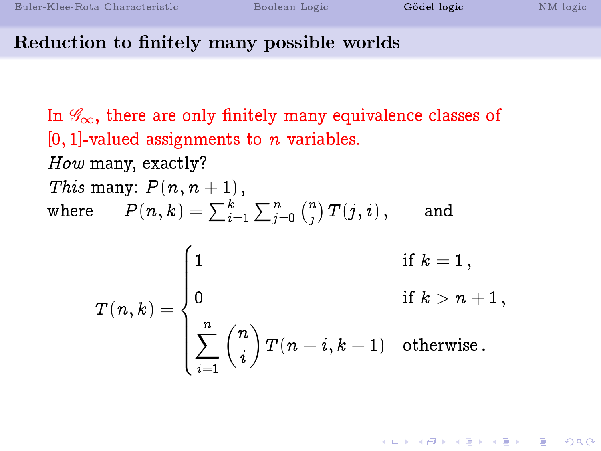### Reduction to finitely many possible worlds

In  $\mathscr{G}_{\infty}$ , there are only finitely many equivalence classes of  $[0, 1]$ -valued assignments to n variables. How many, exactly? This many:  $P(n, n + 1)$ , where  $P(n,k)=\sum_{i=1}^k\sum_{j=0}^n\binom{n}{j}$  $\binom{n}{j}\,T\!\left(j,i\right),\qquad \text{and}$ 

$$
T(n,k) = \begin{cases} 1 & \text{if } k = 1\,,\\ 0 & \text{if } k > n+1\,,\\ \sum_{i=1}^n \binom{n}{i}\,T(n-i,k-1) & \text{otherwise}\,. \end{cases}
$$

**KOR & KERKER ADA KON**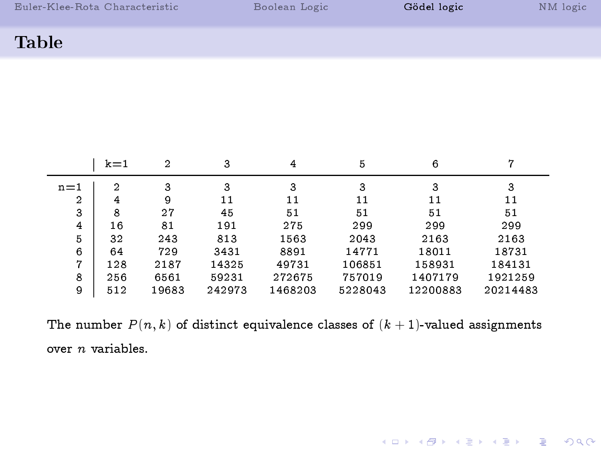|  |  | Euler-Klee-Rota Characteristic |  |  |  |  |  |  |  |  |  |  |  |  |  |  |  |
|--|--|--------------------------------|--|--|--|--|--|--|--|--|--|--|--|--|--|--|--|
|--|--|--------------------------------|--|--|--|--|--|--|--|--|--|--|--|--|--|--|--|

[Boolean Logic](#page-11-0) **[Gödel logic](#page-21-0)** [NM logic](#page-50-0)

K ロ ▶ K 레 ▶ K 코 ▶ K 코 ▶ 『코』 ◆ 9 Q @

#### Table

|       | $k=1$ | $\overline{2}$ | 3      | 4       | 5       | 6        |          |
|-------|-------|----------------|--------|---------|---------|----------|----------|
| $n=1$ | 2     | 3              | 3      | 3       | 3       | 3        | 3        |
| 2     | 4     | 9              | 11     | 11      | 11      | 11       | 11       |
| 3     | 8     | 27             | 45     | 51      | 51      | 51       | 51       |
| 4     | 16    | 81             | 191    | 275     | 299     | 299      | 299      |
| 5     | 32    | 243            | 813    | 1563    | 2043    | 2163     | 2163     |
| 6     | 64    | 729            | 3431   | 8891    | 14771   | 18011    | 18731    |
| 7     | 128   | 2187           | 14325  | 49731   | 106851  | 158931   | 184131   |
| 8     | 256   | 6561           | 59231  | 272675  | 757019  | 1407179  | 1921259  |
| 9     | 512   | 19683          | 242973 | 1468203 | 5228043 | 12200883 | 20214483 |

The number  $P(n, k)$  of distinct equivalence classes of  $(k + 1)$ -valued assignments over n variables.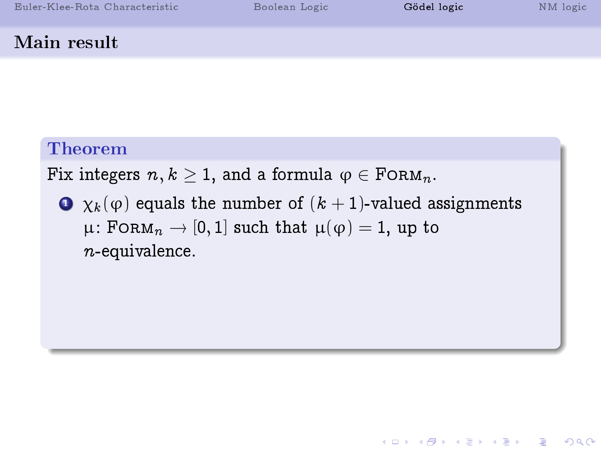KEL KALK KEL KEL KARK

#### Main result

#### Theorem

Fix integers  $n, k \geq 1$ , and a formula  $\varphi \in \text{FoRM}_n$ .

 $\bullet$   $\chi_k(\varphi)$  equals the number of  $(k+1)$ -valued assignments  $\mu$ : FORM<sub>n</sub>  $\rightarrow$  [0, 1] such that  $\mu(\varphi) = 1$ , up to  $n$ -equivalence.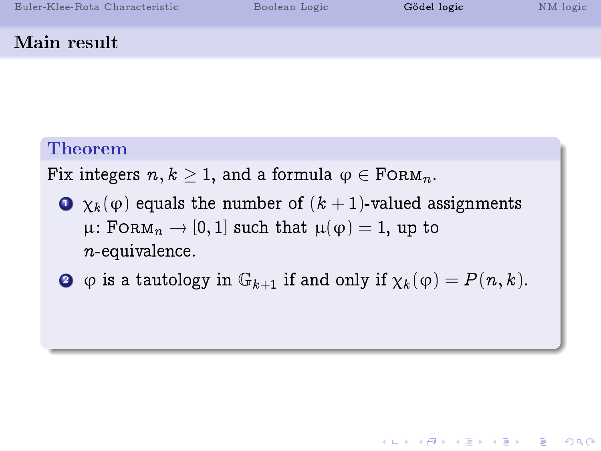KEL KALK KEL KEL KARK

#### Main result

#### Theorem

Fix integers  $n, k \geq 1$ , and a formula  $\varphi \in \text{FoRM}_n$ .

- $\bullet$   $\chi_k(\varphi)$  equals the number of  $(k+1)$ -valued assignments  $\mu$ : FORM<sub>n</sub>  $\rightarrow$  [0, 1] such that  $\mu(\varphi) = 1$ , up to  $n$ -equivalence.
- $\bullet$   $\phi$  is a tautology in  $\mathbb{G}_{k+1}$  if and only if  $\chi_k(\phi) = P(n, k)$ .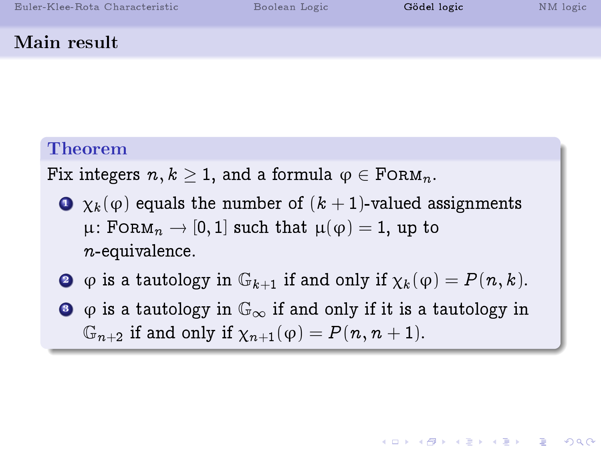KEL KALK KEL KEL KARK

#### Main result

### Theorem

Fix integers  $n, k \geq 1$ , and a formula  $\varphi \in \text{FoRM}_n$ .

- $\bullet$   $\chi_{k}(\varphi)$  equals the number of  $(k+1)$ -valued assignments  $\mu$ : FORM $_n \to [0, 1]$  such that  $\mu(\varphi) = 1$ , up to n-equivalence.
- $\bullet$   $\varphi$  is a tautology in  $\mathbb{G}_{k+1}$  if and only if  $\chi_k(\varphi) = P(n, k)$ .
- $\bullet$   $\bullet$  is a tautology in  $\mathbb{G}_{\infty}$  if and only if it is a tautology in  $\mathbb{G}_{n+2}$  if and only if  $\chi_{n+1}(\varphi) = P(n, n+1)$ .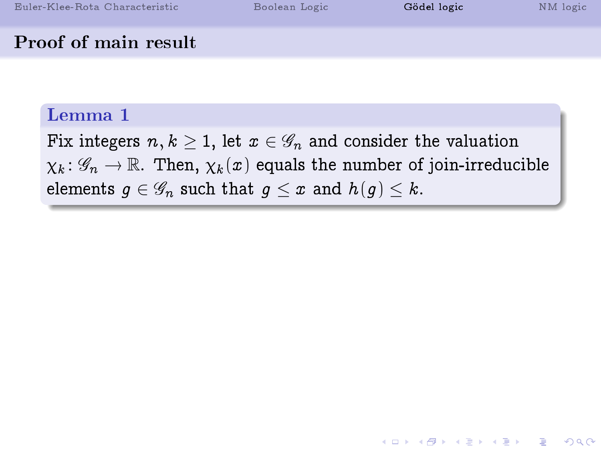### Proof of main result

### Lemma 1

Fix integers  $n, k \geq 1$ , let  $x \in \mathscr{G}_n$  and consider the valuation  $\chi_k: \mathscr{G}_n \to \mathbb{R}$ . Then,  $\chi_k(x)$  equals the number of join-irreducible elements  $q \in \mathscr{G}_n$  such that  $q \leq x$  and  $h(q) \leq k$ .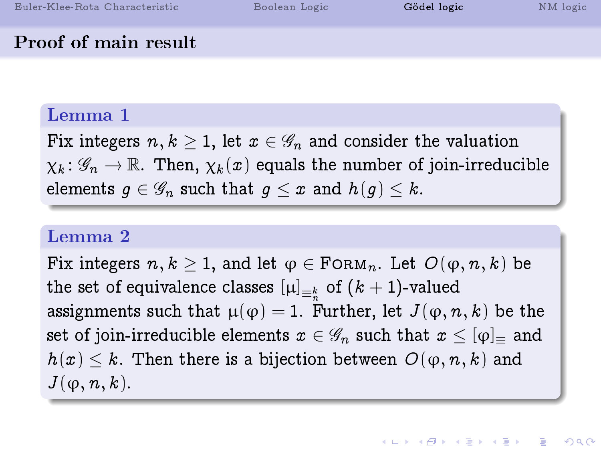### Proof of main result

#### Lemma 1

Fix integers  $n, k \geq 1$ , let  $x \in \mathscr{G}_n$  and consider the valuation  $\chi_k: \mathscr{G}_n \to \mathbb{R}$ . Then,  $\chi_k(x)$  equals the number of join-irreducible elements  $q \in \mathscr{G}_n$  such that  $q \leq x$  and  $h(q) \leq k$ .

#### Lemma 2

Fix integers  $n, k \geq 1$ , and let  $\varphi \in \text{FoRM}_n$ . Let  $O(\varphi, n, k)$  be the set of equivalence classes  $\left[\mu\right]_{\equiv_k^k}$  of  $(k+1)$ -valued assignments such that  $\mu(\varphi) = 1$ . Further, let  $J(\varphi, n, k)$  be the set of join-irreducible elements  $x \in \mathscr{G}_n$  such that  $x \leq [\phi]$  and  $h(x) \leq k$ . Then there is a bijection between  $O(\varphi, n, k)$  and  $J(\varphi, n, k)$ .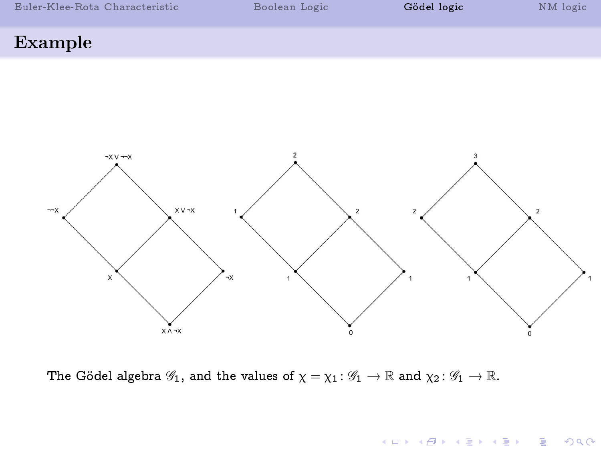|  |  |  |  |  |  | Euler-Klee-Rota Characteristic |  |  |
|--|--|--|--|--|--|--------------------------------|--|--|
|--|--|--|--|--|--|--------------------------------|--|--|

[Boolean Logic](#page-11-0) **[Gödel logic](#page-21-0)** Gödel [NM logic](#page-50-0)

イロト イ御 トイミト イミト ニミー のんぴ

#### Example



The Gödel algebra  $\mathscr{G}_1$ , and the values of  $\chi = \chi_1 : \mathscr{G}_1 \to \mathbb{R}$  and  $\chi_2 : \mathscr{G}_1 \to \mathbb{R}$ .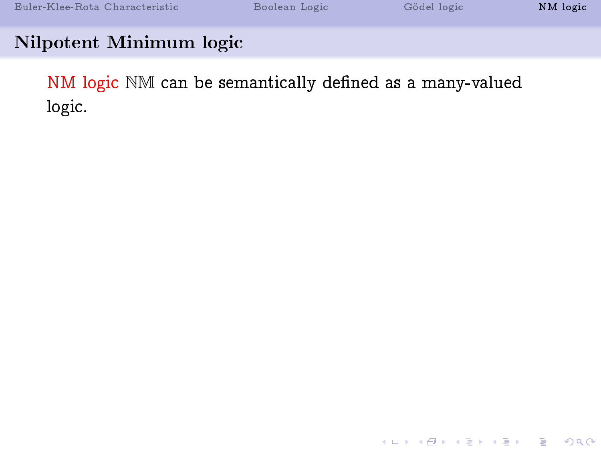#### Nilpotent Minimum logic

<span id="page-50-0"></span>NM logic NM can be semantically defined as a many-valued logic.

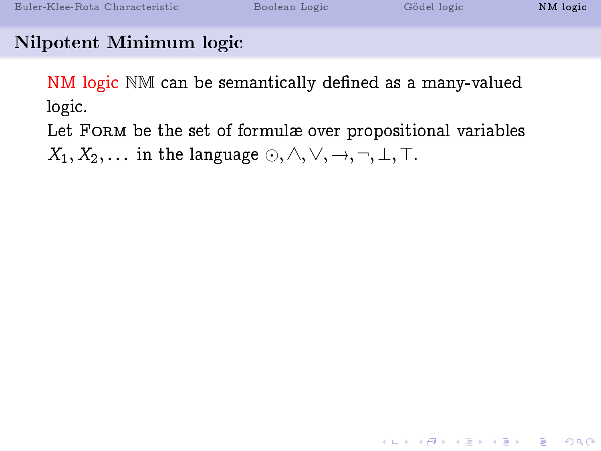### Nilpotent Minimum logic

NM logic NM can be semantically defined as a many-valued logic.

Let FORM be the set of formulæ over propositional variables  $X_1, X_2, \ldots$  in the language  $\odot, \wedge, \vee, \rightarrow, \neg, \bot, \top$ .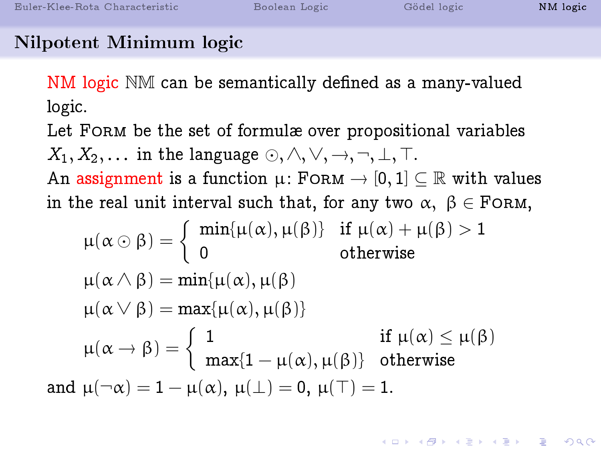### Nilpotent Minimum logic

NM logic NM can be semantically defined as a many-valued logic.

Let FORM be the set of formulæ over propositional variables  $X_1, X_2, \ldots$  in the language  $\odot, \wedge, \vee, \rightarrow, \neg, \perp, \top$ . An assignment is a function  $\mu$ : FORM  $\rightarrow$  [0, 1]  $\subseteq \mathbb{R}$  with values in the real unit interval such that, for any two  $\alpha, \beta \in$  FORM,

$$
\mu(\alpha \odot \beta) = \begin{cases} \min\{\mu(\alpha), \mu(\beta)\} & \text{if } \mu(\alpha) + \mu(\beta) > 1 \\ 0 & \text{otherwise} \end{cases}
$$
  

$$
\mu(\alpha \land \beta) = \min\{\mu(\alpha), \mu(\beta)\}
$$
  

$$
\mu(\alpha \lor \beta) = \max\{\mu(\alpha), \mu(\beta)\}
$$
  

$$
\mu(\alpha \rightarrow \beta) = \begin{cases} 1 & \text{if } \mu(\alpha) \le \mu(\beta) \\ \max\{1 - \mu(\alpha), \mu(\beta)\} & \text{otherwise} \end{cases}
$$
  
and 
$$
\mu(\neg \alpha) = 1 - \mu(\alpha), \mu(\bot) = 0, \mu(\top) = 1.
$$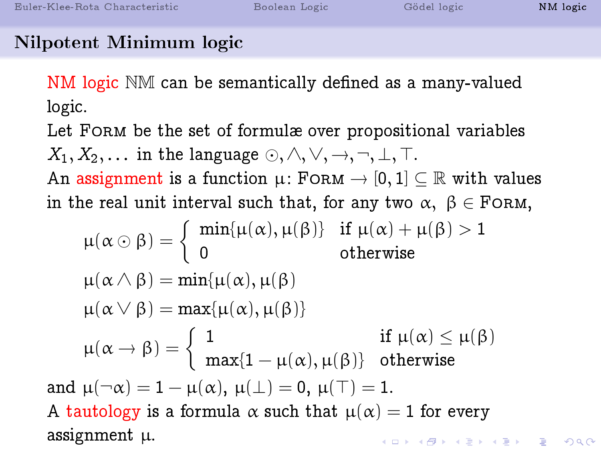### Nilpotent Minimum logic

NM logic NM can be semantically defined as a many-valued logic.

Let FORM be the set of formulæ over propositional variables  $X_1, X_2, \ldots$  in the language  $\odot, \wedge, \vee, \rightarrow, \neg, \perp, \top$ . An assignment is a function  $\mu$ : FORM  $\rightarrow$  [0, 1]  $\subseteq \mathbb{R}$  with values in the real unit interval such that, for any two  $\alpha, \beta \in$  FORM,

$$
\mu(\alpha \odot \beta) = \begin{cases} \min{\{\mu(\alpha), \mu(\beta)\}} & \text{if } \mu(\alpha) + \mu(\beta) > 1 \\ 0 & \text{otherwise} \end{cases}
$$
  

$$
\mu(\alpha \land \beta) = \min{\{\mu(\alpha), \mu(\beta)\}}
$$
  

$$
\mu(\alpha \lor \beta) = \max{\{\mu(\alpha), \mu(\beta)\}}
$$
  

$$
\mu(\alpha \rightarrow \beta) = \begin{cases} 1 & \text{if } \mu(\alpha) \le \mu(\beta) \\ \max{1 - \mu(\alpha), \mu(\beta)\} & \text{otherwise} \end{cases}
$$
  
and 
$$
\mu(\neg \alpha) = 1 - \mu(\alpha), \mu(\bot) = 0, \mu(\top) = 1.
$$
  
A tautology is a formula  $\alpha$  such that  $\mu(\alpha) = 1$  for every assignment  $\mu$ .

 $\equiv$   $\Omega Q$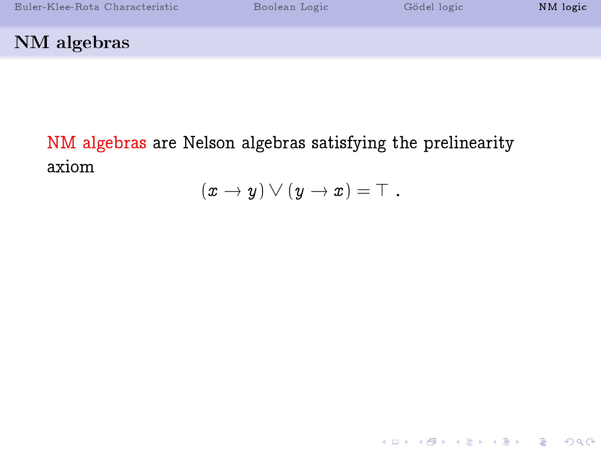K □ ▶ K @ ▶ K 할 ▶ K 할 ▶ 이 할 → 9 Q Q ·

### NM algebras

# NM algebras are Nelson algebras satisfying the prelinearity axiom

$$
(x \to y) \vee (y \to x) = \top.
$$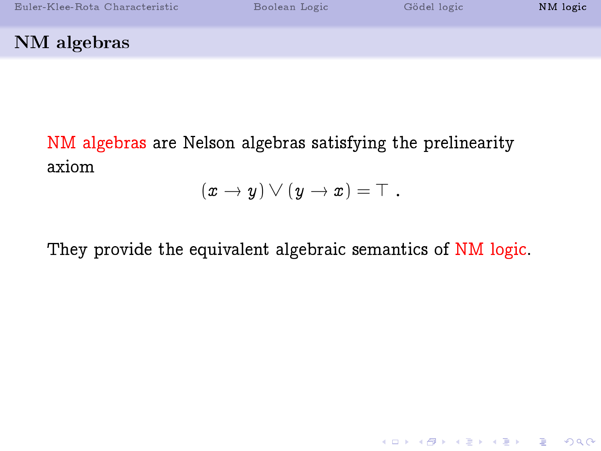K ロ ▶ K 個 ▶ K 할 ▶ K 할 ▶ 이 할 → 900

NM algebras

NM algebras are Nelson algebras satisfying the prelinearity axiom

$$
(x \to y) \vee (y \to x) = \top.
$$

They provide the equivalent algebraic semantics of NM logic.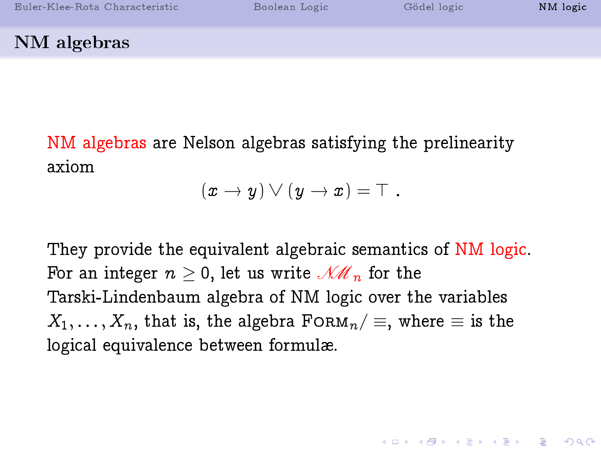### NM algebras

NM algebras are Nelson algebras satisfying the prelinearity axiom

$$
(x \to y) \vee (y \to x) = \top.
$$

They provide the equivalent algebraic semantics of NM logic. For an integer  $n \geq 0$ , let us write  $\mathcal{MM}_n$  for the Tarski-Lindenbaum algebra of NM logic over the variables  $X_1, \ldots, X_n$ , that is, the algebra  $F \circ R M_n / \equiv$ , where  $\equiv$  is the logical equivalence between formulæ.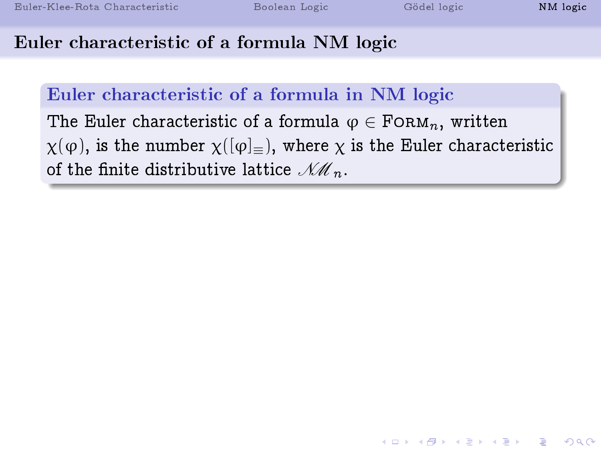#### Euler characteristic of a formula NM logic

#### Euler characteristic of a formula in NM logic

The Euler characteristic of a formula  $\varphi \in \text{FoRM}_n$ , written  $\chi(\varphi)$ , is the number  $\chi([\varphi]_{\equiv})$ , where  $\chi$  is the Euler characteristic of the finite distributive lattice  $\mathcal{NM}_n$ .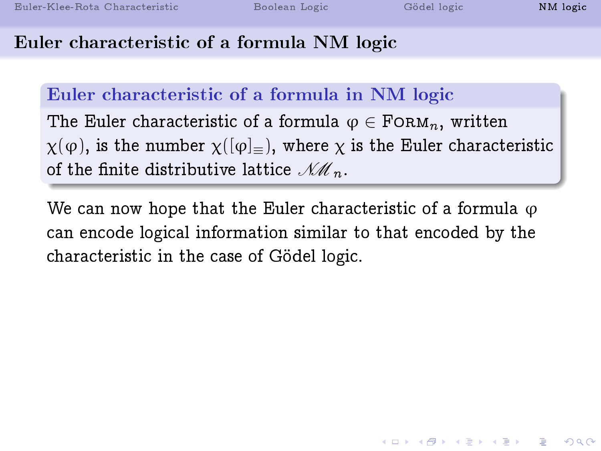K ロ ▶ K 個 ▶ K 할 ▶ K 할 ▶ 이 할 → 900

### Euler characteristic of a formula NM logic

#### Euler characteristic of a formula in NM logic

The Euler characteristic of a formula  $\varphi \in \text{FoRM}_n$ , written  $\chi(\varphi)$ , is the number  $\chi([\varphi]_{\equiv})$ , where  $\chi$  is the Euler characteristic of the finite distributive lattice  $\mathcal{NM}_n$ .

We can now hope that the Euler characteristic of a formula  $\varphi$ can encode logical information similar to that encoded by the characteristic in the case of Gödel logic.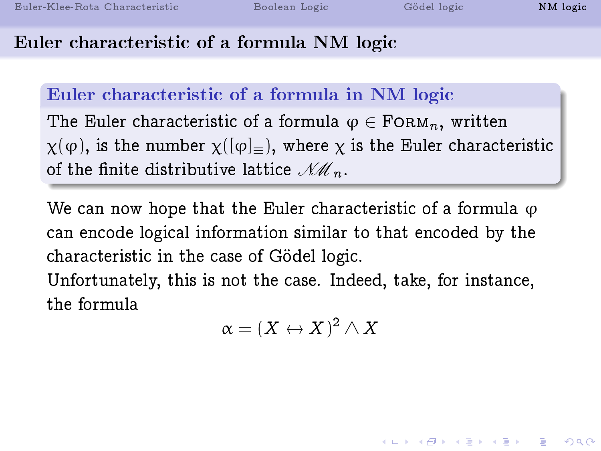**KOR & KERKER ADA KON** 

### Euler characteristic of a formula NM logic

### Euler characteristic of a formula in NM logic

The Euler characteristic of a formula  $\varphi \in \text{FoRM}_n$ , written  $\chi(\varphi)$ , is the number  $\chi([\varphi]_{\equiv})$ , where  $\chi$  is the Euler characteristic of the finite distributive lattice  $\mathcal{NM}_n$ .

We can now hope that the Euler characteristic of a formula  $\varphi$ can encode logical information similar to that encoded by the characteristic in the case of Gödel logic.

Unfortunately, this is not the case. Indeed, take, for instance, the formula

$$
\alpha=(X\leftrightarrow X)^2\wedge X
$$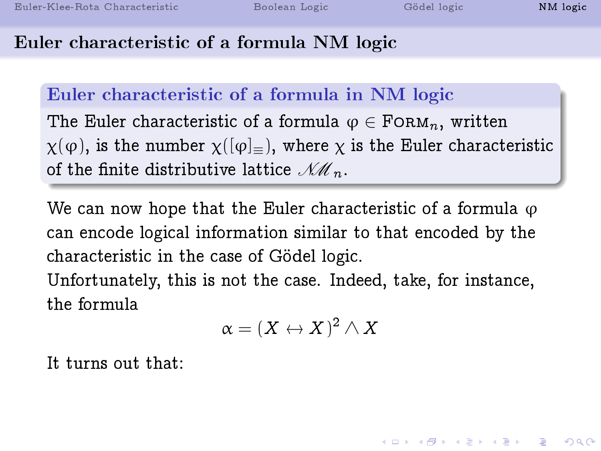K □ ▶ K ● K K X B X X B X B X X Q Q Q Q

#### Euler characteristic of a formula NM logic

#### Euler characteristic of a formula in NM logic

The Euler characteristic of a formula  $\varphi \in \text{FoRM}_n$ , written  $\chi(\varphi)$ , is the number  $\chi([\varphi]_{\equiv})$ , where  $\chi$  is the Euler characteristic of the finite distributive lattice  $\mathcal{NM}_n$ .

We can now hope that the Euler characteristic of a formula  $\varphi$ can encode logical information similar to that encoded by the characteristic in the case of Gödel logic.

Unfortunately, this is not the case. Indeed, take, for instance, the formula

$$
\alpha=(X\leftrightarrow X)^2\wedge X
$$

It turns out that: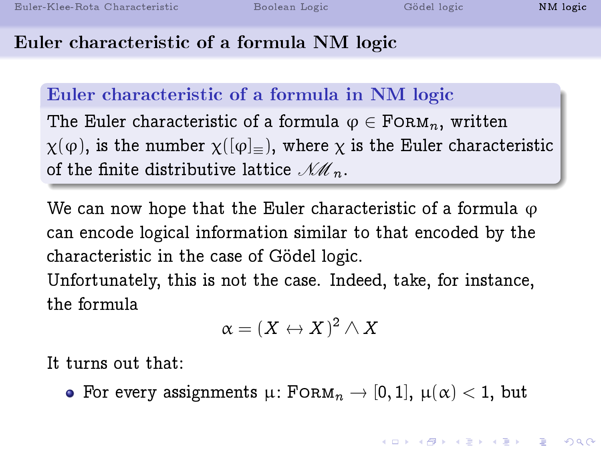**KOR & KERKER ADA KON** 

#### Euler characteristic of a formula NM logic

#### Euler characteristic of a formula in NM logic

The Euler characteristic of a formula  $\varphi \in \text{FoRM}_n$ , written  $\chi(\varphi)$ , is the number  $\chi([\varphi]_{\equiv})$ , where  $\chi$  is the Euler characteristic of the finite distributive lattice  $\mathcal{NM}_n$ .

We can now hope that the Euler characteristic of a formula  $\varphi$ can encode logical information similar to that encoded by the characteristic in the case of Gödel logic. Unfortunately, this is not the case. Indeed, take, for instance,

the formula

$$
\alpha=(X\leftrightarrow X)^2\wedge X
$$

It turns out that:

• For every assignments  $\mu:$  FORM $_n \to [0, 1]$ ,  $\mu(\alpha) < 1$ , but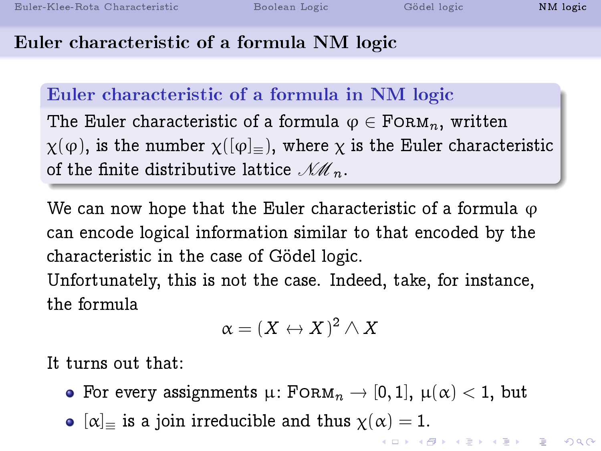-<br>◆ ロ ▶ → 레 ▶ → 로 ▶ → 토 ▶ │ 로 │ ◆) Q (◇

### Euler characteristic of a formula NM logic

### Euler characteristic of a formula in NM logic

The Euler characteristic of a formula  $\varphi \in \text{FoRM}_n$ , written  $\chi(\varphi)$ , is the number  $\chi([\varphi]_{\equiv})$ , where  $\chi$  is the Euler characteristic of the finite distributive lattice  $\mathcal{NM}_n$ .

We can now hope that the Euler characteristic of a formula  $\varphi$ can encode logical information similar to that encoded by the characteristic in the case of Gödel logic.

Unfortunately, this is not the case. Indeed, take, for instance, the formula

$$
\alpha=(X\leftrightarrow X)^2\wedge X
$$

It turns out that:

- For every assignments  $\mu:$  FORM $_n \to [0,1]$ ,  $\mu(\alpha) < 1$ , but
- $[\alpha]_{=}$  is a join irreducible and thus  $\chi(\alpha) = 1$ .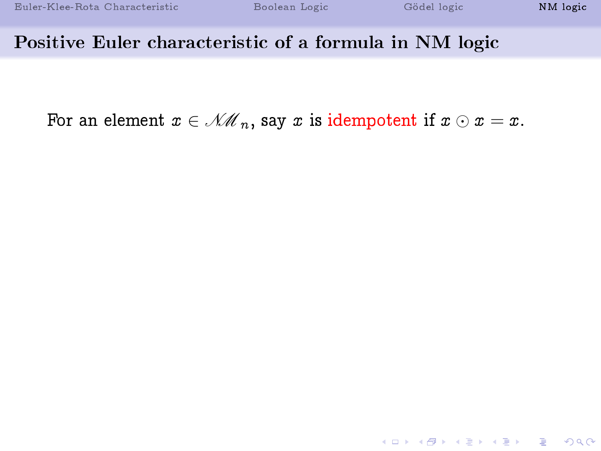K ロ ▶ K 레 ≯ K 제공 → K 공 → X 9 Q Q Q

#### Positive Euler characteristic of a formula in NM logic

For an element  $x \in \mathcal{NM}_n$ , say x is idempotent if  $x \odot x = x$ .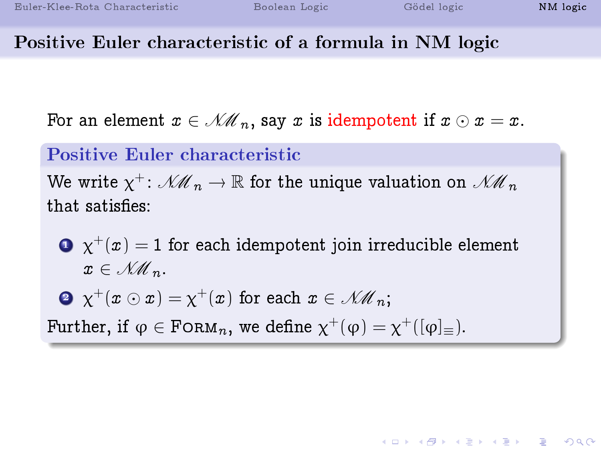**KOR & KERKER ADA KON** 

#### Positive Euler characteristic of a formula in NM logic

For an element  $x \in \mathcal{M}_n$ , say x is idempotent if  $x \odot x = x$ .

#### Positive Euler characteristic

We write  $\chi^+$ :  $\mathcal{NM}_n \to \mathbb{R}$  for the unique valuation on  $\mathcal{NM}_n$ that satisfies:

 $\mathbf{D}^{\top}\chi^{+}(x)=1$  for each idempotent join irreducible element  $x \in \mathcal{M}_n$ .

 $\bm{2} \;\; \bm{\chi}^+(\bm{x} \odot \bm{x}) = \bm{\chi}^+(\bm{x}) \; \text{for each} \; \bm{x} \in \mathscr{M}\!\!\mathscr{M}_n;$ 

Further, if  $\varphi \in \texttt{F}\texttt{ORM}_n$ , we define  $\chi^+(\varphi) = \chi^+([\varphi]_\equiv)$ .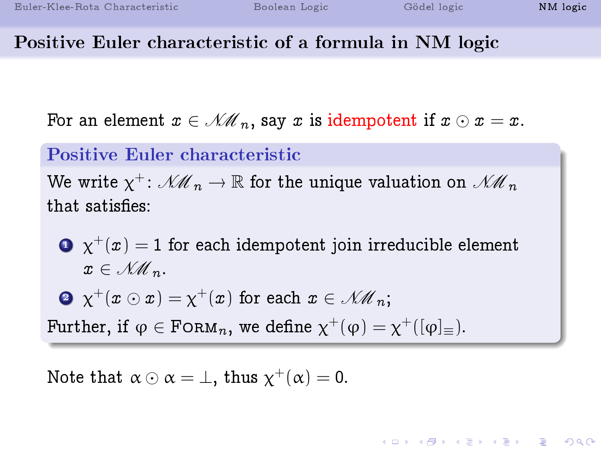**KOR & KERKER ADA KON** 

#### Positive Euler characteristic of a formula in NM logic

For an element  $x \in \mathcal{M}_n$ , say x is idempotent if  $x \odot x = x$ .

#### Positive Euler characteristic

We write  $\chi^+$ :  $\mathcal{NM}_n \to \mathbb{R}$  for the unique valuation on  $\mathcal{NM}_n$ that satisfies:

 $\mathbf{D}^{\top}\chi^{+}(x)=1$  for each idempotent join irreducible element  $x \in \mathcal{NM}_{n}$ .

 $\bm{2} \;\; \bm{\chi}^+(\bm{x} \odot \bm{x}) = \bm{\chi}^+(\bm{x}) \; \text{for each} \; \bm{x} \in \mathscr{M}\!\!\mathscr{M}_n;$ 

Further, if  $\varphi \in \texttt{F}\texttt{ORM}_n$ , we define  $\chi^+(\varphi) = \chi^+([\varphi]_\equiv)$ .

Note that  $\alpha \odot \alpha = \bot$ , thus  $\chi^+(\alpha) = 0$ .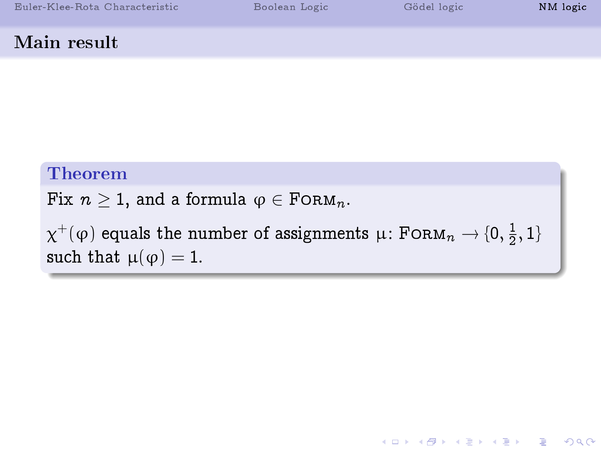#### Main result

## Theorem Fix  $n > 1$ , and a formula  $\varphi \in \text{FoRM}_n$ .  $\chi^+(\varphi)$  equals the number of assignments  $\mu\colon$  FORM $_n\to$   $\{0,\frac{1}{2}\}$  $\frac{1}{2}$ , 1} such that  $\mu(\varphi) = 1$ .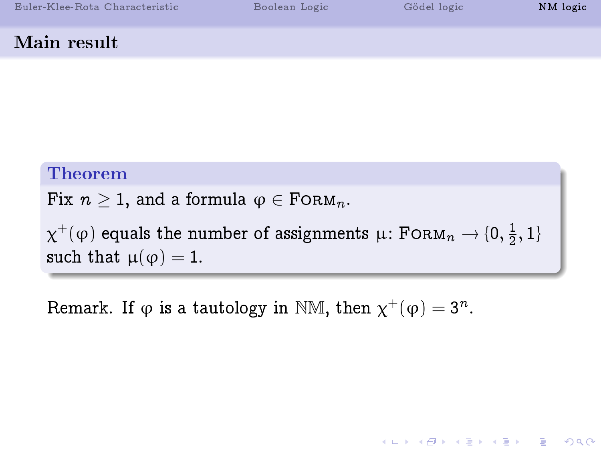**KOR & KERKER ADA KON** 

#### Main result

## Theorem Fix  $n \geq 1$ , and a formula  $\varphi \in \text{FoRM}_n$ .  $\chi^+(\varphi)$  equals the number of assignments  $\mu\colon$  FORM $_n\to$   $\{0,\frac{1}{2}\}$  $\frac{1}{2}$ , 1} such that  $\mu(\varphi) = 1$ .

Remark. If  $\varphi$  is a tautology in NM, then  $\chi^+(\varphi)=3^n$ .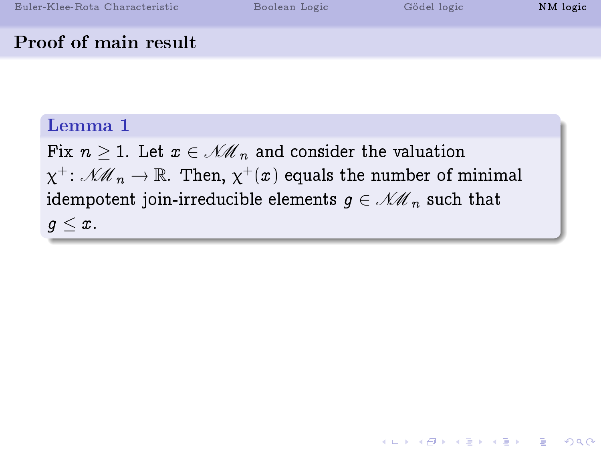#### Proof of main result

#### Lemma 1

Fix  $n \geq 1$ . Let  $x \in \mathcal{NM}_n$  and consider the valuation  $\chi^+$ :  $\mathcal{MM}_n \to \mathbb{R}$ . Then,  $\chi^+(x)$  equals the number of minimal idempotent join-irreducible elements  $q \in \mathcal{NM}_n$  such that  $q < x$ .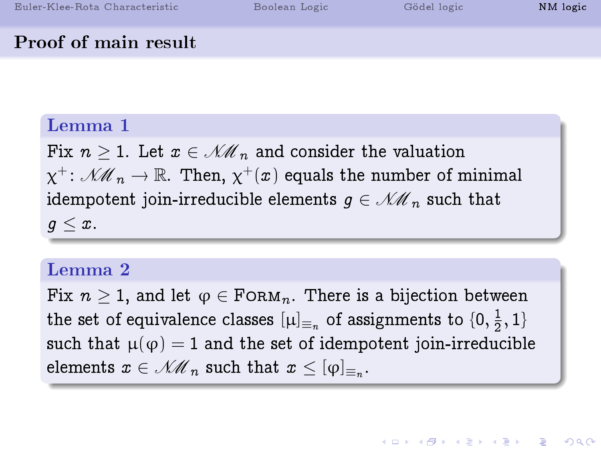**KOR & KERKER ADA KON** 

#### Proof of main result

#### Lemma 1

Fix  $n \geq 1$ . Let  $x \in \mathcal{NM}_n$  and consider the valuation  $\chi^+$ :  $\mathcal{MM}_n \to \mathbb{R}$ . Then,  $\chi^+(x)$  equals the number of minimal idempotent join-irreducible elements  $q \in \mathcal{NM}_n$  such that  $q < x$ .

#### Lemma 2

Fix  $n \geq 1$ , and let  $\varphi \in \mathrm{FoRM}_n$ . There is a bijection between the set of equivalence classes  $\left[\mu\right]_{\equiv_n}$  of assignments to  $\{0,\frac{1}{2}\}$  $\frac{1}{2}, 1\}$ such that  $\mu(\varphi) = 1$  and the set of idempotent join-irreducible elements  $x\in\mathscr{M}\hspace{-1pt}\mathscr{M}_n$  such that  $x\leq[\varphi]_{\equiv_n}.$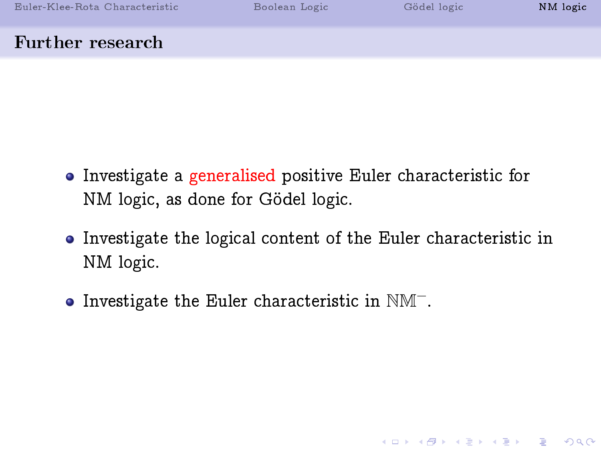#### Further research

- **•** Investigate a generalised positive Euler characteristic for NM logic, as done for Gödel logic.
- Investigate the logical content of the Euler characteristic in NM logic.
- $\bullet$  Investigate the Euler characteristic in  $\mathbb{N} \mathbb{M}^-$ .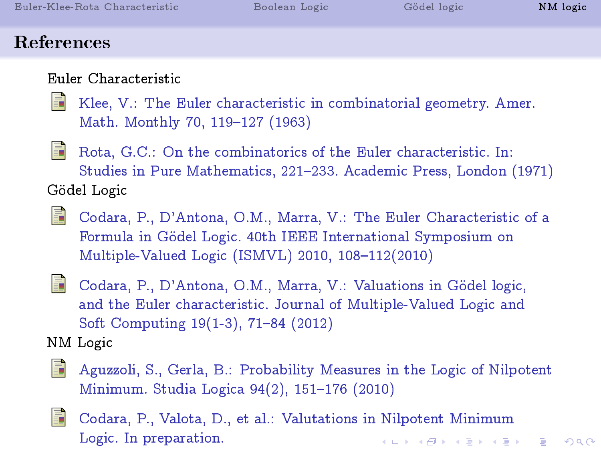#### References

#### Euler Characteristic

- Klee, V.: The Euler characteristic in combinatorial geometry. Amer. Math. Monthly 70, 119-127 (1963)
- ā.
- Rota, G.C.: On the combinatorics of the Euler characteristic. In: Studies in Pure Mathematics, 221233. Academic Press, London (1971) Gödel Logic
	- Codara, P., D'Antona, O.M., Marra, V.: The Euler Characteristic of a Formula in Gödel Logic. 40th IEEE International Symposium on Multiple-Valued Logic (ISMVL) 2010,  $108-112(2010)$
- S.
- Codara, P., D'Antona, O.M., Marra, V.: Valuations in Gödel logic, and the Euler characteristic. Journal of Multiple-Valued Logic and Soft Computing 19(1-3), 71-84 (2012)
- NM Logic
- 
- Aguzzoli, S., Gerla, B.: Probability Measures in the Logic of Nilpotent Minimum. Studia Logica 94(2), 151-176 (2010)



Codara, P., Valota, D., et al.: Valutations in Nilpotent Minimum Logic. In preparation.**KOR & KERKER ADA KON**